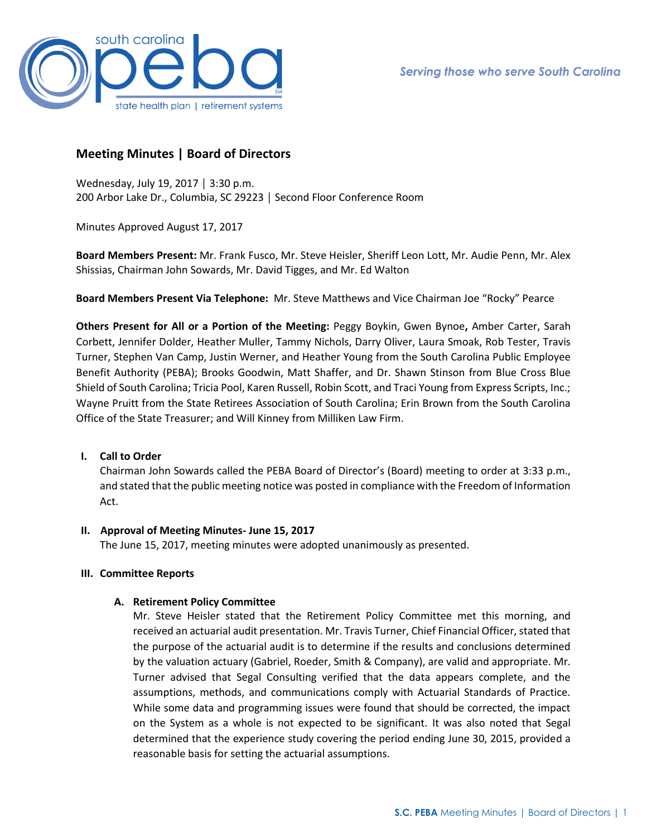

# **Meeting Minutes | Board of Directors**

Wednesday, July 19, 2017 │ 3:30 p.m. 200 Arbor Lake Dr., Columbia, SC 29223 │ Second Floor Conference Room

Minutes Approved August 17, 2017

**Board Members Present:** Mr. Frank Fusco, Mr. Steve Heisler, Sheriff Leon Lott, Mr. Audie Penn, Mr. Alex Shissias, Chairman John Sowards, Mr. David Tigges, and Mr. Ed Walton

**Board Members Present Via Telephone:** Mr. Steve Matthews and Vice Chairman Joe "Rocky" Pearce

**Others Present for All or a Portion of the Meeting:** Peggy Boykin, Gwen Bynoe**,** Amber Carter, Sarah Corbett, Jennifer Dolder, Heather Muller, Tammy Nichols, Darry Oliver, Laura Smoak, Rob Tester, Travis Turner, Stephen Van Camp, Justin Werner, and Heather Young from the South Carolina Public Employee Benefit Authority (PEBA); Brooks Goodwin, Matt Shaffer, and Dr. Shawn Stinson from Blue Cross Blue Shield of South Carolina; Tricia Pool, Karen Russell, Robin Scott, and Traci Young from Express Scripts, Inc.; Wayne Pruitt from the State Retirees Association of South Carolina; Erin Brown from the South Carolina Office of the State Treasurer; and Will Kinney from Milliken Law Firm.

## **I. Call to Order**

Chairman John Sowards called the PEBA Board of Director's (Board) meeting to order at 3:33 p.m., and stated that the public meeting notice was posted in compliance with the Freedom of Information Act.

## **II. Approval of Meeting Minutes- June 15, 2017**

The June 15, 2017, meeting minutes were adopted unanimously as presented.

## **III. Committee Reports**

## **A. Retirement Policy Committee**

Mr. Steve Heisler stated that the Retirement Policy Committee met this morning, and received an actuarial audit presentation. Mr. Travis Turner, Chief Financial Officer, stated that the purpose of the actuarial audit is to determine if the results and conclusions determined by the valuation actuary (Gabriel, Roeder, Smith & Company), are valid and appropriate. Mr. Turner advised that Segal Consulting verified that the data appears complete, and the assumptions, methods, and communications comply with Actuarial Standards of Practice. While some data and programming issues were found that should be corrected, the impact on the System as a whole is not expected to be significant. It was also noted that Segal determined that the experience study covering the period ending June 30, 2015, provided a reasonable basis for setting the actuarial assumptions.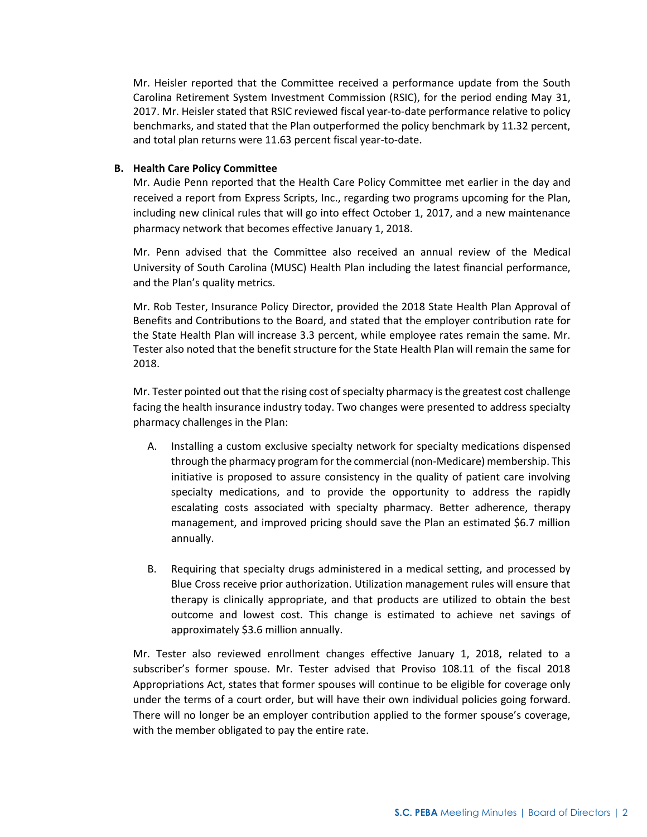Mr. Heisler reported that the Committee received a performance update from the South Carolina Retirement System Investment Commission (RSIC), for the period ending May 31, 2017. Mr. Heisler stated that RSIC reviewed fiscal year-to-date performance relative to policy benchmarks, and stated that the Plan outperformed the policy benchmark by 11.32 percent, and total plan returns were 11.63 percent fiscal year-to-date.

## **B. Health Care Policy Committee**

Mr. Audie Penn reported that the Health Care Policy Committee met earlier in the day and received a report from Express Scripts, Inc., regarding two programs upcoming for the Plan, including new clinical rules that will go into effect October 1, 2017, and a new maintenance pharmacy network that becomes effective January 1, 2018.

Mr. Penn advised that the Committee also received an annual review of the Medical University of South Carolina (MUSC) Health Plan including the latest financial performance, and the Plan's quality metrics.

Mr. Rob Tester, Insurance Policy Director, provided the 2018 State Health Plan Approval of Benefits and Contributions to the Board, and stated that the employer contribution rate for the State Health Plan will increase 3.3 percent, while employee rates remain the same. Mr. Tester also noted that the benefit structure for the State Health Plan will remain the same for 2018.

Mr. Tester pointed out that the rising cost of specialty pharmacy is the greatest cost challenge facing the health insurance industry today. Two changes were presented to address specialty pharmacy challenges in the Plan:

- A. Installing a custom exclusive specialty network for specialty medications dispensed through the pharmacy program for the commercial (non-Medicare) membership. This initiative is proposed to assure consistency in the quality of patient care involving specialty medications, and to provide the opportunity to address the rapidly escalating costs associated with specialty pharmacy. Better adherence, therapy management, and improved pricing should save the Plan an estimated \$6.7 million annually.
- B. Requiring that specialty drugs administered in a medical setting, and processed by Blue Cross receive prior authorization. Utilization management rules will ensure that therapy is clinically appropriate, and that products are utilized to obtain the best outcome and lowest cost. This change is estimated to achieve net savings of approximately \$3.6 million annually.

Mr. Tester also reviewed enrollment changes effective January 1, 2018, related to a subscriber's former spouse. Mr. Tester advised that Proviso 108.11 of the fiscal 2018 Appropriations Act, states that former spouses will continue to be eligible for coverage only under the terms of a court order, but will have their own individual policies going forward. There will no longer be an employer contribution applied to the former spouse's coverage, with the member obligated to pay the entire rate.